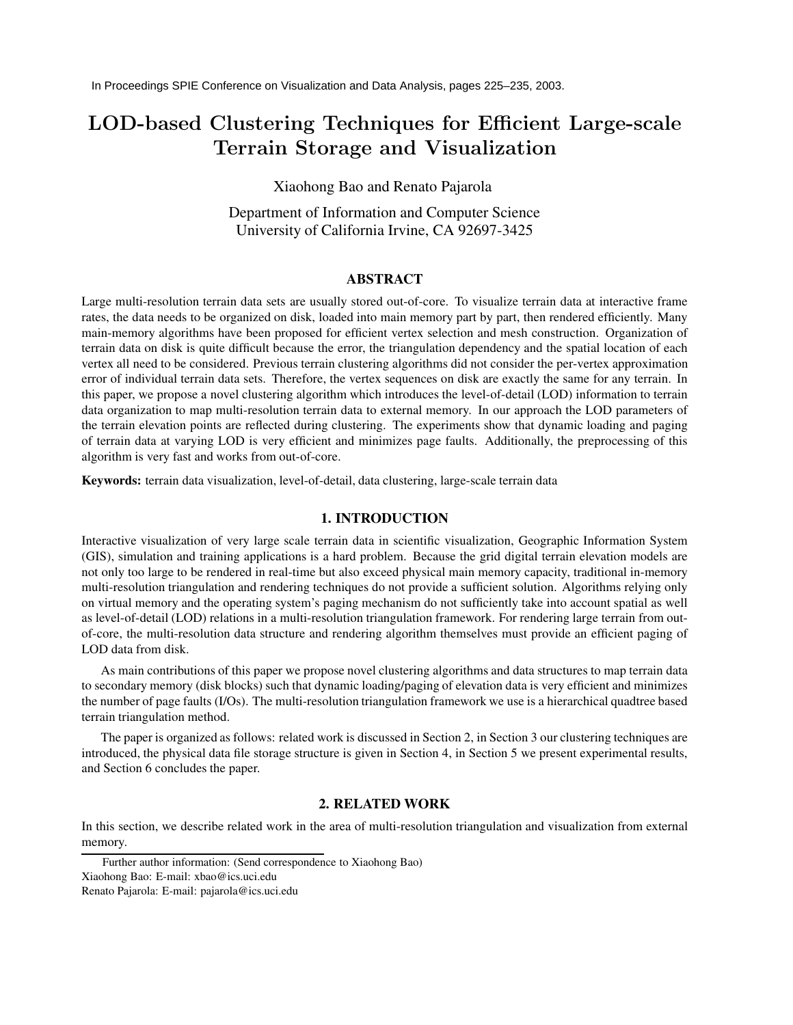# **LOD-based Clustering Techniques for Efficient Large-scale Terrain Storage and Visualization**

Xiaohong Bao and Renato Pajarola

Department of Information and Computer Science University of California Irvine, CA 92697-3425

# **ABSTRACT**

Large multi-resolution terrain data sets are usually stored out-of-core. To visualize terrain data at interactive frame rates, the data needs to be organized on disk, loaded into main memory part by part, then rendered efficiently. Many main-memory algorithms have been proposed for efficient vertex selection and mesh construction. Organization of terrain data on disk is quite difficult because the error, the triangulation dependency and the spatial location of each vertex all need to be considered. Previous terrain clustering algorithms did not consider the per-vertex approximation error of individual terrain data sets. Therefore, the vertex sequences on disk are exactly the same for any terrain. In this paper, we propose a novel clustering algorithm which introduces the level-of-detail (LOD) information to terrain data organization to map multi-resolution terrain data to external memory. In our approach the LOD parameters of the terrain elevation points are reflected during clustering. The experiments show that dynamic loading and paging of terrain data at varying LOD is very efficient and minimizes page faults. Additionally, the preprocessing of this algorithm is very fast and works from out-of-core.

**Keywords:** terrain data visualization, level-of-detail, data clustering, large-scale terrain data

# **1. INTRODUCTION**

Interactive visualization of very large scale terrain data in scientific visualization, Geographic Information System (GIS), simulation and training applications is a hard problem. Because the grid digital terrain elevation models are not only too large to be rendered in real-time but also exceed physical main memory capacity, traditional in-memory multi-resolution triangulation and rendering techniques do not provide a sufficient solution. Algorithms relying only on virtual memory and the operating system's paging mechanism do not sufficiently take into account spatial as well as level-of-detail (LOD) relations in a multi-resolution triangulation framework. For rendering large terrain from outof-core, the multi-resolution data structure and rendering algorithm themselves must provide an efficient paging of LOD data from disk.

As main contributions of this paper we propose novel clustering algorithms and data structures to map terrain data to secondary memory (disk blocks) such that dynamic loading/paging of elevation data is very efficient and minimizes the number of page faults (I/Os). The multi-resolution triangulation framework we use is a hierarchical quadtree based terrain triangulation method.

The paper is organized as follows: related work is discussed in Section 2, in Section 3 our clustering techniques are introduced, the physical data file storage structure is given in Section 4, in Section 5 we present experimental results, and Section 6 concludes the paper.

# **2. RELATED WORK**

In this section, we describe related work in the area of multi-resolution triangulation and visualization from external memory.

Further author information: (Send correspondence to Xiaohong Bao) Xiaohong Bao: E-mail: xbao@ics.uci.edu

Renato Pajarola: E-mail: pajarola@ics.uci.edu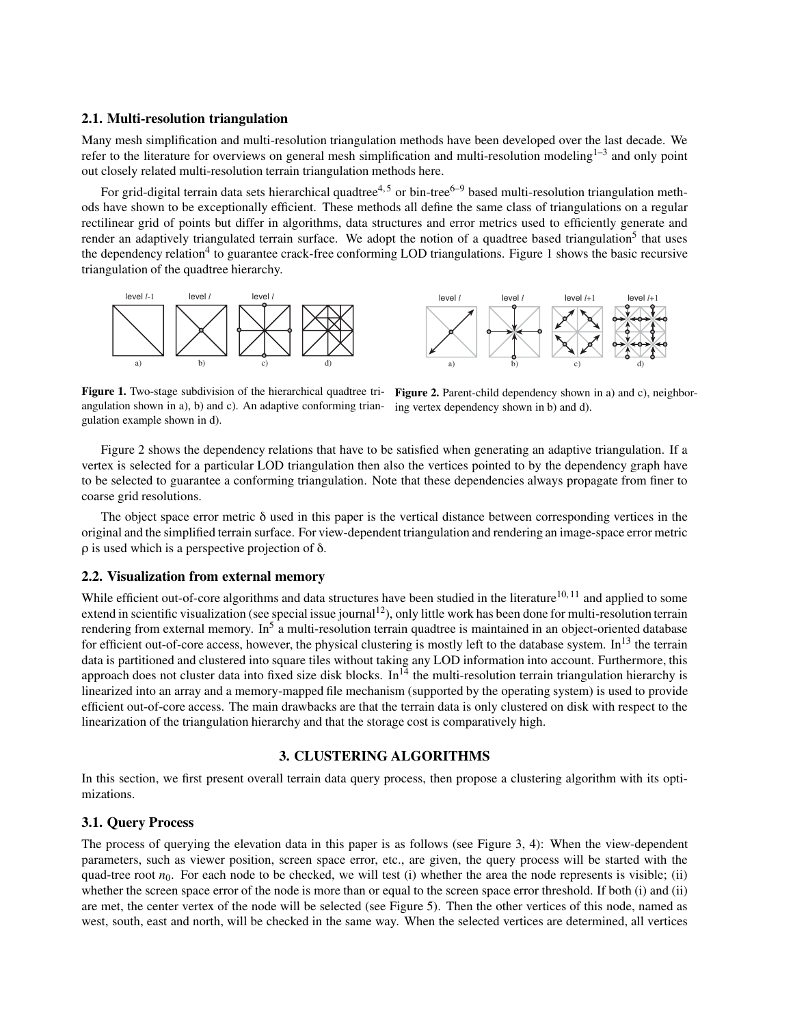#### **2.1. Multi-resolution triangulation**

Many mesh simplification and multi-resolution triangulation methods have been developed over the last decade. We refer to the literature for overviews on general mesh simplification and multi-resolution modeling<sup>1–3</sup> and only point out closely related multi-resolution terrain triangulation methods here.

For grid-digital terrain data sets hierarchical quadtree<sup>4, 5</sup> or bin-tree<sup>6–9</sup> based multi-resolution triangulation methods have shown to be exceptionally efficient. These methods all define the same class of triangulations on a regular rectilinear grid of points but differ in algorithms, data structures and error metrics used to efficiently generate and render an adaptively triangulated terrain surface. We adopt the notion of a quadtree based triangulation<sup>5</sup> that uses the dependency relation<sup>4</sup> to guarantee crack-free conforming LOD triangulations. Figure 1 shows the basic recursive triangulation of the quadtree hierarchy.



level *l* level *l* level *l*+1 a) b) c) d) level *l*+1

Figure 1. Two-stage subdivision of the hierarchical quadtree tri-Figure 2. Parent-child dependency shown in a) and c), neighborangulation shown in a), b) and c). An adaptive conforming trian-ing vertex dependency shown in b) and d). gulation example shown in d).

Figure 2 shows the dependency relations that have to be satisfied when generating an adaptive triangulation. If a vertex is selected for a particular LOD triangulation then also the vertices pointed to by the dependency graph have to be selected to guarantee a conforming triangulation. Note that these dependencies always propagate from finer to coarse grid resolutions.

The object space error metric δ used in this paper is the vertical distance between corresponding vertices in the original and the simplified terrain surface. For view-dependent triangulation and rendering an image-space error metric  $ρ$  is used which is a perspective projection of  $δ$ .

## **2.2. Visualization from external memory**

While efficient out-of-core algorithms and data structures have been studied in the literature<sup>10,11</sup> and applied to some extend in scientific visualization (see special issue journal<sup>12</sup>), only little work has been done for multi-resolution terrain rendering from external memory. In<sup>5</sup> a multi-resolution terrain quadtree is maintained in an object-oriented database for efficient out-of-core access, however, the physical clustering is mostly left to the database system. In<sup>13</sup> the terrain data is partitioned and clustered into square tiles without taking any LOD information into account. Furthermore, this approach does not cluster data into fixed size disk blocks. In<sup>14</sup> the multi-resolution terrain triangulation hierarchy is linearized into an array and a memory-mapped file mechanism (supported by the operating system) is used to provide efficient out-of-core access. The main drawbacks are that the terrain data is only clustered on disk with respect to the linearization of the triangulation hierarchy and that the storage cost is comparatively high.

# **3. CLUSTERING ALGORITHMS**

In this section, we first present overall terrain data query process, then propose a clustering algorithm with its optimizations.

#### **3.1. Query Process**

The process of querying the elevation data in this paper is as follows (see Figure 3, 4): When the view-dependent parameters, such as viewer position, screen space error, etc., are given, the query process will be started with the quad-tree root  $n_0$ . For each node to be checked, we will test (i) whether the area the node represents is visible; (ii) whether the screen space error of the node is more than or equal to the screen space error threshold. If both (i) and (ii) are met, the center vertex of the node will be selected (see Figure 5). Then the other vertices of this node, named as west, south, east and north, will be checked in the same way. When the selected vertices are determined, all vertices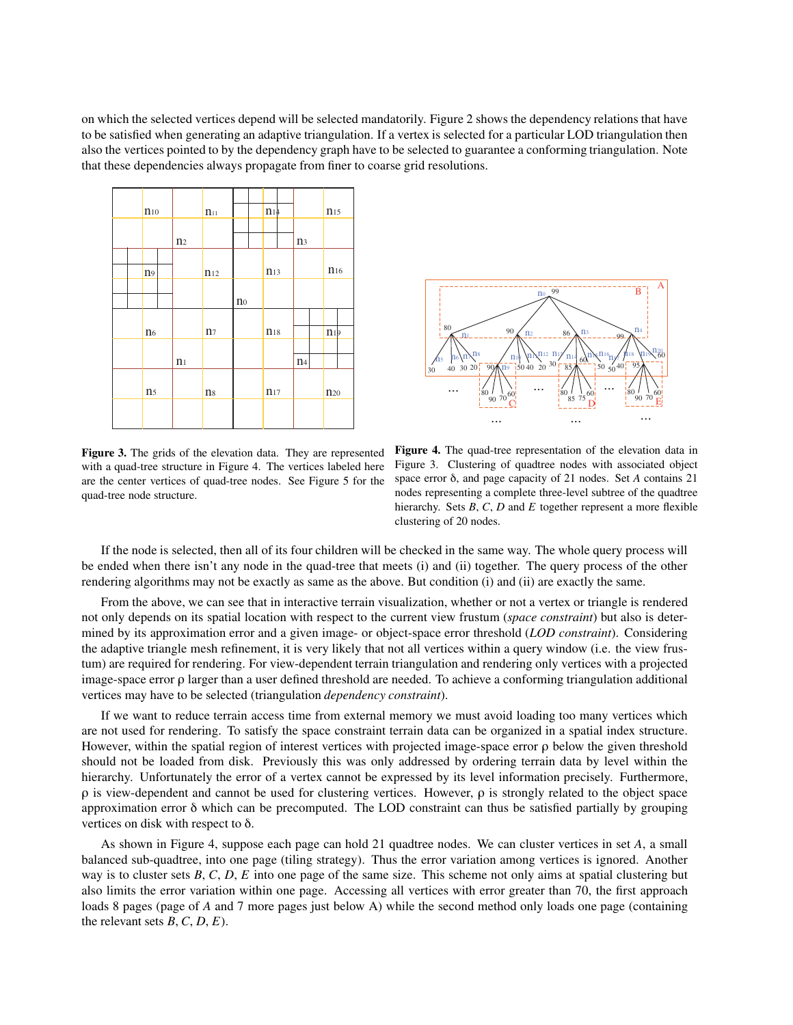on which the selected vertices depend will be selected mandatorily. Figure 2 shows the dependency relations that have to be satisfied when generating an adaptive triangulation. If a vertex is selected for a particular LOD triangulation then also the vertices pointed to by the dependency graph have to be selected to guarantee a conforming triangulation. Note that these dependencies always propagate from finer to coarse grid resolutions.





**Figure 3.** The grids of the elevation data. They are represented with a quad-tree structure in Figure 4. The vertices labeled here are the center vertices of quad-tree nodes. See Figure 5 for the quad-tree node structure.

**Figure 4.** The quad-tree representation of the elevation data in Figure 3. Clustering of quadtree nodes with associated object space error δ, and page capacity of 21 nodes. Set *A* contains 21 nodes representing a complete three-level subtree of the quadtree hierarchy. Sets *B*, *C*, *D* and *E* together represent a more flexible clustering of 20 nodes.

If the node is selected, then all of its four children will be checked in the same way. The whole query process will be ended when there isn't any node in the quad-tree that meets (i) and (ii) together. The query process of the other rendering algorithms may not be exactly as same as the above. But condition (i) and (ii) are exactly the same.

From the above, we can see that in interactive terrain visualization, whether or not a vertex or triangle is rendered not only depends on its spatial location with respect to the current view frustum (*space constraint*) but also is determined by its approximation error and a given image- or object-space error threshold (*LOD constraint*). Considering the adaptive triangle mesh refinement, it is very likely that not all vertices within a query window (i.e. the view frustum) are required for rendering. For view-dependent terrain triangulation and rendering only vertices with a projected image-space error ρ larger than a user defined threshold are needed. To achieve a conforming triangulation additional vertices may have to be selected (triangulation *dependency constraint*).

If we want to reduce terrain access time from external memory we must avoid loading too many vertices which are not used for rendering. To satisfy the space constraint terrain data can be organized in a spatial index structure. However, within the spatial region of interest vertices with projected image-space error ρ below the given threshold should not be loaded from disk. Previously this was only addressed by ordering terrain data by level within the hierarchy. Unfortunately the error of a vertex cannot be expressed by its level information precisely. Furthermore, ρ is view-dependent and cannot be used for clustering vertices. However, ρ is strongly related to the object space approximation error δ which can be precomputed. The LOD constraint can thus be satisfied partially by grouping vertices on disk with respect to δ.

As shown in Figure 4, suppose each page can hold 21 quadtree nodes. We can cluster vertices in set *A*, a small balanced sub-quadtree, into one page (tiling strategy). Thus the error variation among vertices is ignored. Another way is to cluster sets *B*, *C*, *D*, *E* into one page of the same size. This scheme not only aims at spatial clustering but also limits the error variation within one page. Accessing all vertices with error greater than 70, the first approach loads 8 pages (page of *A* and 7 more pages just below A) while the second method only loads one page (containing the relevant sets  $B, C, D, E$ .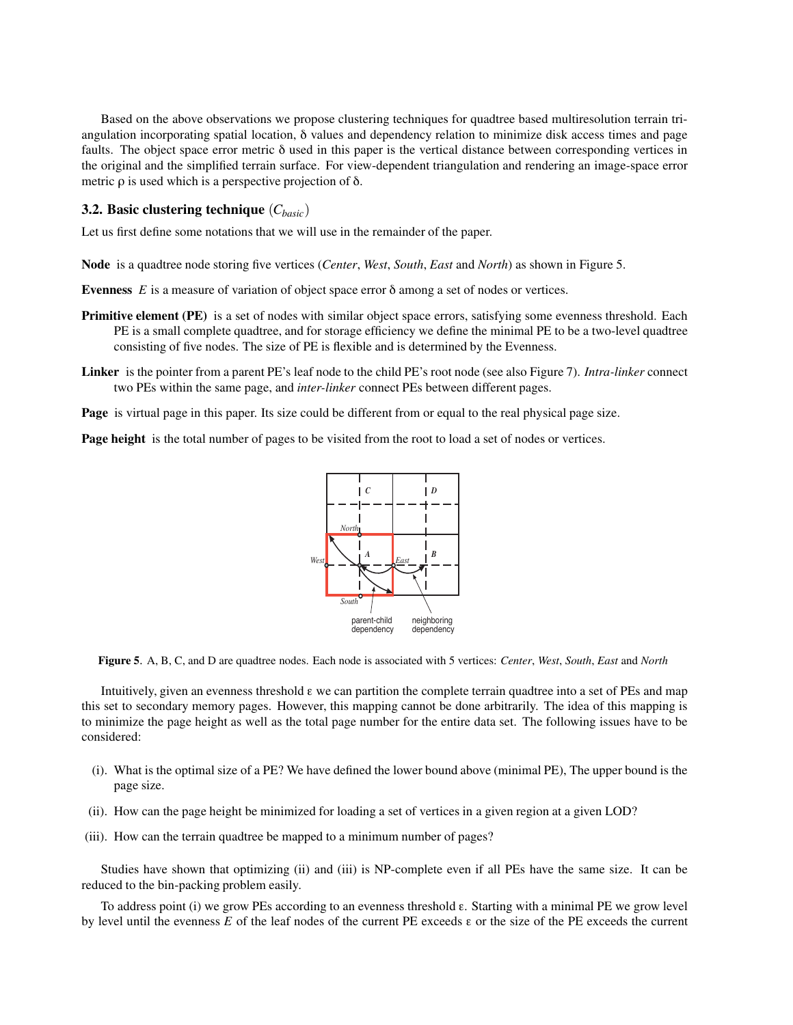Based on the above observations we propose clustering techniques for quadtree based multiresolution terrain triangulation incorporating spatial location, δ values and dependency relation to minimize disk access times and page faults. The object space error metric δ used in this paper is the vertical distance between corresponding vertices in the original and the simplified terrain surface. For view-dependent triangulation and rendering an image-space error metric  $\rho$  is used which is a perspective projection of  $\delta$ .

## **3.2. Basic clustering technique** (*Cbasic*)

Let us first define some notations that we will use in the remainder of the paper.

**Node** is a quadtree node storing five vertices (*Center*, *West*, *South*, *East* and *North*) as shown in Figure 5.

**Evenness** *E* is a measure of variation of object space error δ among a set of nodes or vertices.

- **Primitive element (PE)** is a set of nodes with similar object space errors, satisfying some evenness threshold. Each PE is a small complete quadtree, and for storage efficiency we define the minimal PE to be a two-level quadtree consisting of five nodes. The size of PE is flexible and is determined by the Evenness.
- **Linker** is the pointer from a parent PE's leaf node to the child PE's root node (see also Figure 7). *Intra-linker* connect two PEs within the same page, and *inter-linker* connect PEs between different pages.

**Page** is virtual page in this paper. Its size could be different from or equal to the real physical page size.

**Page height** is the total number of pages to be visited from the root to load a set of nodes or vertices.



**Figure 5**. A, B, C, and D are quadtree nodes. Each node is associated with 5 vertices: *Center*, *West*, *South*, *East* and *North*

Intuitively, given an evenness threshold ε we can partition the complete terrain quadtree into a set of PEs and map this set to secondary memory pages. However, this mapping cannot be done arbitrarily. The idea of this mapping is to minimize the page height as well as the total page number for the entire data set. The following issues have to be considered:

- (i). What is the optimal size of a PE? We have defined the lower bound above (minimal PE), The upper bound is the page size.
- (ii). How can the page height be minimized for loading a set of vertices in a given region at a given LOD?
- (iii). How can the terrain quadtree be mapped to a minimum number of pages?

Studies have shown that optimizing (ii) and (iii) is NP-complete even if all PEs have the same size. It can be reduced to the bin-packing problem easily.

To address point (i) we grow PEs according to an evenness threshold ε. Starting with a minimal PE we grow level by level until the evenness *E* of the leaf nodes of the current PE exceeds ε or the size of the PE exceeds the current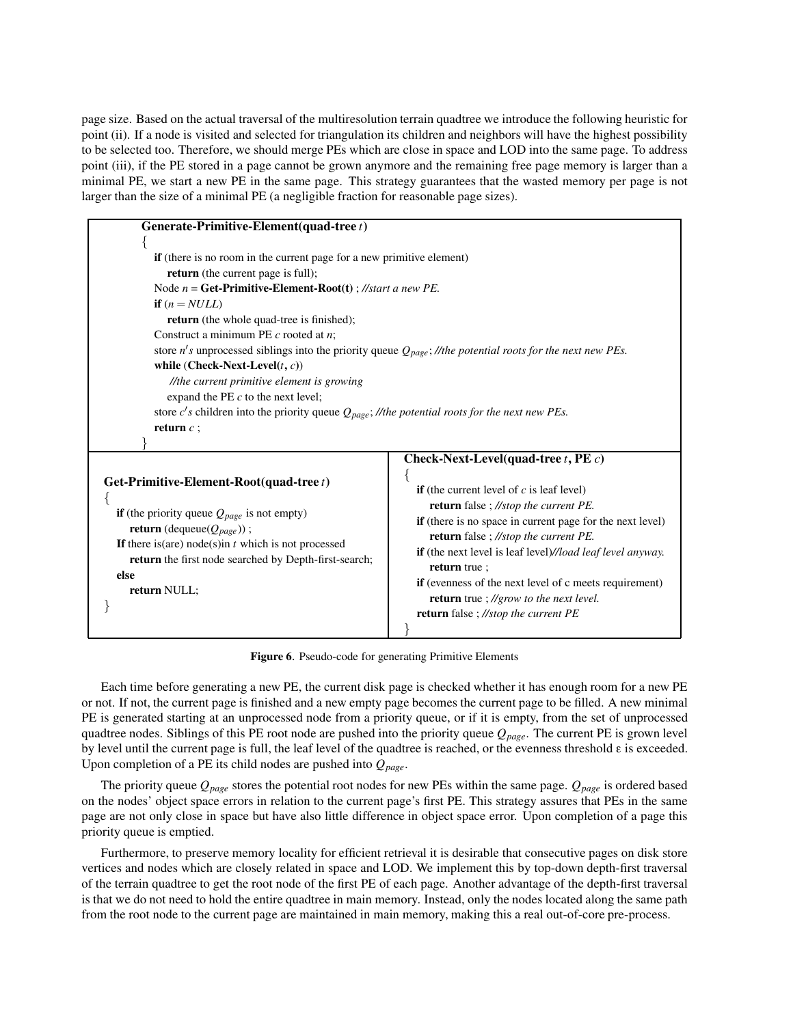page size. Based on the actual traversal of the multiresolution terrain quadtree we introduce the following heuristic for point (ii). If a node is visited and selected for triangulation its children and neighbors will have the highest possibility to be selected too. Therefore, we should merge PEs which are close in space and LOD into the same page. To address point (iii), if the PE stored in a page cannot be grown anymore and the remaining free page memory is larger than a minimal PE, we start a new PE in the same page. This strategy guarantees that the wasted memory per page is not larger than the size of a minimal PE (a negligible fraction for reasonable page sizes).

| Generate-Primitive-Element(quad-tree t)                                                                           |                                                                   |  |  |  |  |
|-------------------------------------------------------------------------------------------------------------------|-------------------------------------------------------------------|--|--|--|--|
|                                                                                                                   |                                                                   |  |  |  |  |
| if (there is no room in the current page for a new primitive element)                                             |                                                                   |  |  |  |  |
| <b>return</b> (the current page is full);                                                                         |                                                                   |  |  |  |  |
| Node $n = \text{Get-Primitive-Element-Root}(t)$ ; //start a new PE.                                               |                                                                   |  |  |  |  |
| if $(n = NULL)$                                                                                                   |                                                                   |  |  |  |  |
| <b>return</b> (the whole quad-tree is finished);                                                                  |                                                                   |  |  |  |  |
| Construct a minimum PE $c$ rooted at $n$ ;                                                                        |                                                                   |  |  |  |  |
| store $n's$ unprocessed siblings into the priority queue $Q_{page}$ ; //the potential roots for the next new PEs. |                                                                   |  |  |  |  |
| while (Check-Next-Level $(t, c)$ )                                                                                |                                                                   |  |  |  |  |
| //the current primitive element is growing                                                                        |                                                                   |  |  |  |  |
| expand the PE $c$ to the next level;                                                                              |                                                                   |  |  |  |  |
| store $c's$ children into the priority queue $Q_{page}$ ; //the potential roots for the next new PEs.             |                                                                   |  |  |  |  |
| return $c$ ;                                                                                                      |                                                                   |  |  |  |  |
|                                                                                                                   |                                                                   |  |  |  |  |
|                                                                                                                   | Check-Next-Level(quad-tree $t$ , PE $c$ )                         |  |  |  |  |
|                                                                                                                   |                                                                   |  |  |  |  |
| Get-Primitive-Element-Root(quad-tree t)                                                                           | <b>if</b> (the current level of $c$ is leaf level)                |  |  |  |  |
|                                                                                                                   | return false ; //stop the current PE.                             |  |  |  |  |
| <b>if</b> (the priority queue $Q_{page}$ is not empty)                                                            | if (there is no space in current page for the next level)         |  |  |  |  |
| <b>return</b> (dequeue( $Q_{page}$ ));<br>If there is (are) node(s) in $t$ which is not processed                 | <b>return</b> false; //stop the current PE.                       |  |  |  |  |
| return the first node searched by Depth-first-search;                                                             | <b>if</b> (the next level is leaf level)//load leaf level anyway. |  |  |  |  |
| return true;<br>else                                                                                              |                                                                   |  |  |  |  |
| return NULL;                                                                                                      | <b>if</b> (evenness of the next level of c meets requirement)     |  |  |  |  |
|                                                                                                                   | <b>return</b> true; //grow to the next level.                     |  |  |  |  |
|                                                                                                                   | <b>return</b> false; //stop the current PE                        |  |  |  |  |
|                                                                                                                   |                                                                   |  |  |  |  |

**Figure 6**. Pseudo-code for generating Primitive Elements

Each time before generating a new PE, the current disk page is checked whether it has enough room for a new PE or not. If not, the current page is finished and a new empty page becomes the current page to be filled. A new minimal PE is generated starting at an unprocessed node from a priority queue, or if it is empty, from the set of unprocessed quadtree nodes. Siblings of this PE root node are pushed into the priority queue *Qpage*. The current PE is grown level by level until the current page is full, the leaf level of the quadtree is reached, or the evenness threshold ε is exceeded. Upon completion of a PE its child nodes are pushed into *Qpage*.

The priority queue *Qpage* stores the potential root nodes for new PEs within the same page. *Qpage* is ordered based on the nodes' object space errors in relation to the current page's first PE. This strategy assures that PEs in the same page are not only close in space but have also little difference in object space error. Upon completion of a page this priority queue is emptied.

Furthermore, to preserve memory locality for efficient retrieval it is desirable that consecutive pages on disk store vertices and nodes which are closely related in space and LOD. We implement this by top-down depth-first traversal of the terrain quadtree to get the root node of the first PE of each page. Another advantage of the depth-first traversal is that we do not need to hold the entire quadtree in main memory. Instead, only the nodes located along the same path from the root node to the current page are maintained in main memory, making this a real out-of-core pre-process.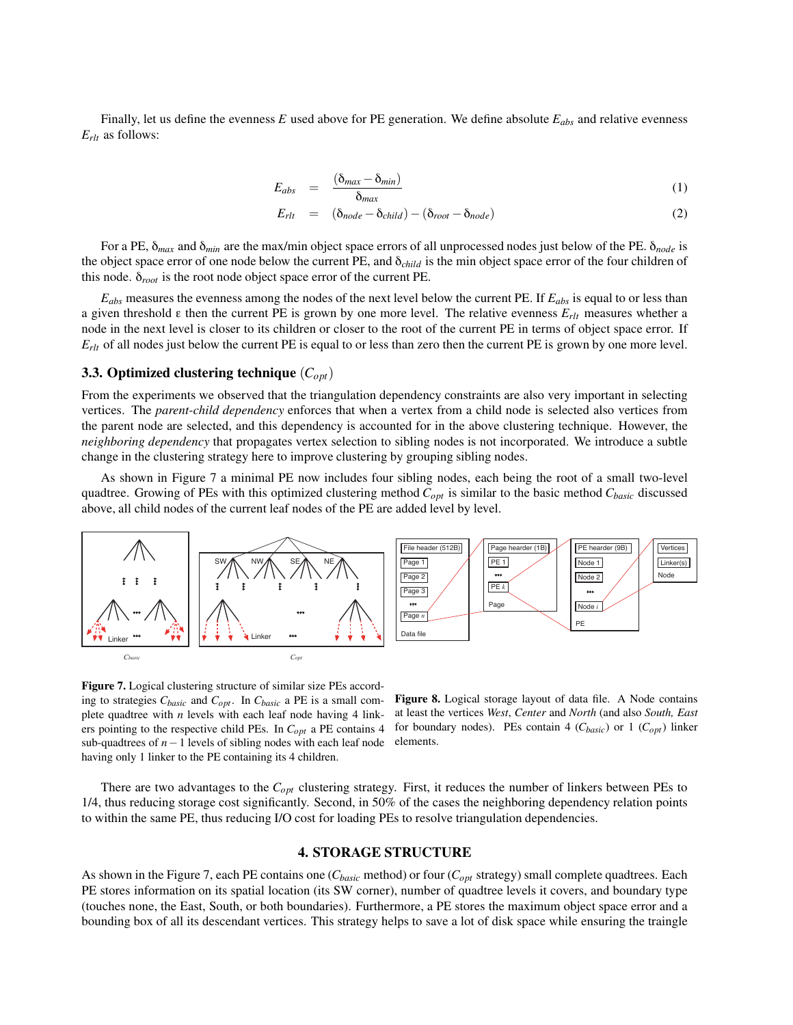Finally, let us define the evenness *E* used above for PE generation. We define absolute *Eabs* and relative evenness *Erlt* as follows:

$$
E_{abs} = \frac{(\delta_{max} - \delta_{min})}{\delta_{max}} \tag{1}
$$

$$
E_{rlt} = (\delta_{node} - \delta_{child}) - (\delta_{root} - \delta_{node})
$$
\n(2)

For a PE, δ*max* and δ*min* are the max/min object space errors of all unprocessed nodes just below of the PE. δ*node* is the object space error of one node below the current PE, and δ*child* is the min object space error of the four children of this node. δ*root* is the root node object space error of the current PE.

*Eabs* measures the evenness among the nodes of the next level below the current PE. If *Eabs* is equal to or less than a given threshold  $\varepsilon$  then the current PE is grown by one more level. The relative evenness  $E_{rlt}$  measures whether a node in the next level is closer to its children or closer to the root of the current PE in terms of object space error. If *E<sub>rlt</sub>* of all nodes just below the current PE is equal to or less than zero then the current PE is grown by one more level.

### **3.3. Optimized clustering technique** ( $C_{opt}$ )

From the experiments we observed that the triangulation dependency constraints are also very important in selecting vertices. The *parent-child dependency* enforces that when a vertex from a child node is selected also vertices from the parent node are selected, and this dependency is accounted for in the above clustering technique. However, the *neighboring dependency* that propagates vertex selection to sibling nodes is not incorporated. We introduce a subtle change in the clustering strategy here to improve clustering by grouping sibling nodes.

As shown in Figure 7 a minimal PE now includes four sibling nodes, each being the root of a small two-level quadtree. Growing of PEs with this optimized clustering method  $C_{opt}$  is similar to the basic method  $C_{basic}$  discussed above, all child nodes of the current leaf nodes of the PE are added level by level.



**Figure 7.** Logical clustering structure of similar size PEs according to strategies *Cbasic* and *Copt*. In *Cbasic* a PE is a small complete quadtree with *n* levels with each leaf node having 4 linkers pointing to the respective child PEs. In *Copt* a PE contains 4 sub-quadtrees of *n*−1 levels of sibling nodes with each leaf node having only 1 linker to the PE containing its 4 children.

**Figure 8.** Logical storage layout of data file. A Node contains at least the vertices *West*, *Center* and *North* (and also *South, East* for boundary nodes). PEs contain 4  $(C_{basic})$  or 1  $(C_{opt})$  linker elements.

There are two advantages to the *Copt* clustering strategy. First, it reduces the number of linkers between PEs to 1/4, thus reducing storage cost significantly. Second, in 50% of the cases the neighboring dependency relation points to within the same PE, thus reducing I/O cost for loading PEs to resolve triangulation dependencies.

#### **4. STORAGE STRUCTURE**

As shown in the Figure 7, each PE contains one (*Cbasic* method) or four (*Copt* strategy) small complete quadtrees. Each PE stores information on its spatial location (its SW corner), number of quadtree levels it covers, and boundary type (touches none, the East, South, or both boundaries). Furthermore, a PE stores the maximum object space error and a bounding box of all its descendant vertices. This strategy helps to save a lot of disk space while ensuring the traingle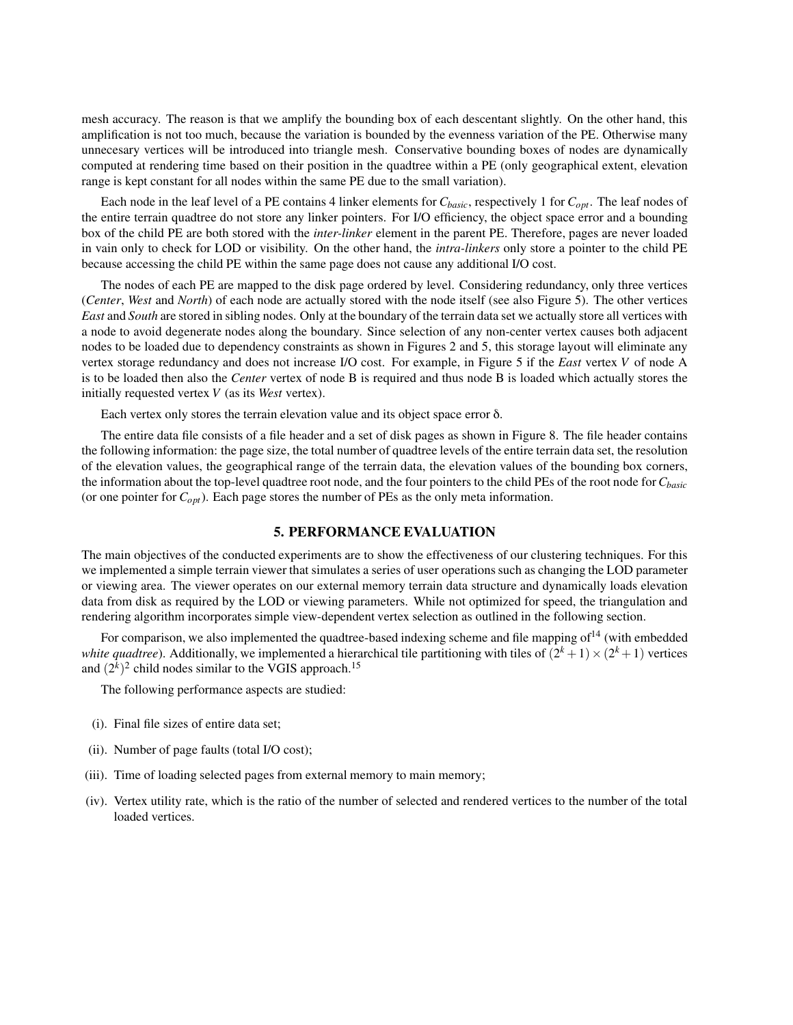mesh accuracy. The reason is that we amplify the bounding box of each descentant slightly. On the other hand, this amplification is not too much, because the variation is bounded by the evenness variation of the PE. Otherwise many unnecesary vertices will be introduced into triangle mesh. Conservative bounding boxes of nodes are dynamically computed at rendering time based on their position in the quadtree within a PE (only geographical extent, elevation range is kept constant for all nodes within the same PE due to the small variation).

Each node in the leaf level of a PE contains 4 linker elements for *Cbasic*, respectively 1 for *Copt*. The leaf nodes of the entire terrain quadtree do not store any linker pointers. For I/O efficiency, the object space error and a bounding box of the child PE are both stored with the *inter-linker* element in the parent PE. Therefore, pages are never loaded in vain only to check for LOD or visibility. On the other hand, the *intra-linkers* only store a pointer to the child PE because accessing the child PE within the same page does not cause any additional I/O cost.

The nodes of each PE are mapped to the disk page ordered by level. Considering redundancy, only three vertices (*Center*, *West* and *North*) of each node are actually stored with the node itself (see also Figure 5). The other vertices *East* and *South* are stored in sibling nodes. Only at the boundary of the terrain data set we actually store all vertices with a node to avoid degenerate nodes along the boundary. Since selection of any non-center vertex causes both adjacent nodes to be loaded due to dependency constraints as shown in Figures 2 and 5, this storage layout will eliminate any vertex storage redundancy and does not increase I/O cost. For example, in Figure 5 if the *East* vertex *V* of node A is to be loaded then also the *Center* vertex of node B is required and thus node B is loaded which actually stores the initially requested vertex *V* (as its *West* vertex).

Each vertex only stores the terrain elevation value and its object space error δ.

The entire data file consists of a file header and a set of disk pages as shown in Figure 8. The file header contains the following information: the page size, the total number of quadtree levels of the entire terrain data set, the resolution of the elevation values, the geographical range of the terrain data, the elevation values of the bounding box corners, the information about the top-level quadtree root node, and the four pointers to the child PEs of the root node for*Cbasic* (or one pointer for  $C_{opt}$ ). Each page stores the number of PEs as the only meta information.

## **5. PERFORMANCE EVALUATION**

The main objectives of the conducted experiments are to show the effectiveness of our clustering techniques. For this we implemented a simple terrain viewer that simulates a series of user operations such as changing the LOD parameter or viewing area. The viewer operates on our external memory terrain data structure and dynamically loads elevation data from disk as required by the LOD or viewing parameters. While not optimized for speed, the triangulation and rendering algorithm incorporates simple view-dependent vertex selection as outlined in the following section.

For comparison, we also implemented the quadtree-based indexing scheme and file mapping of  $14$  (with embedded *white quadtree*). Additionally, we implemented a hierarchical tile partitioning with tiles of  $(2^k + 1) \times (2^k + 1)$  vertices and  $(2<sup>k</sup>)<sup>2</sup>$  child nodes similar to the VGIS approach.<sup>15</sup>

The following performance aspects are studied:

- (i). Final file sizes of entire data set;
- (ii). Number of page faults (total I/O cost);
- (iii). Time of loading selected pages from external memory to main memory;
- (iv). Vertex utility rate, which is the ratio of the number of selected and rendered vertices to the number of the total loaded vertices.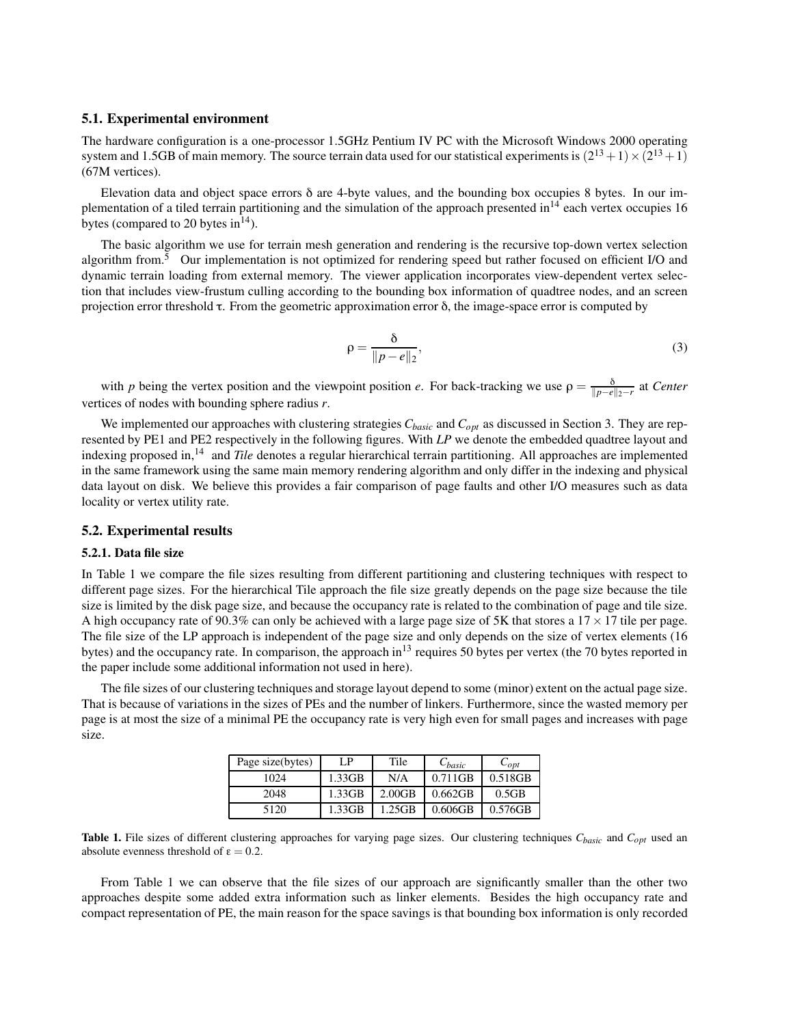#### **5.1. Experimental environment**

The hardware configuration is a one-processor 1.5GHz Pentium IV PC with the Microsoft Windows 2000 operating system and 1.5GB of main memory. The source terrain data used for our statistical experiments is  $(2^{13}+1)\times(2^{13}+1)$ (67M vertices).

Elevation data and object space errors δ are 4-byte values, and the bounding box occupies 8 bytes. In our implementation of a tiled terrain partitioning and the simulation of the approach presented in  $14$  each vertex occupies 16 bytes (compared to 20 bytes in  $14$ ).

The basic algorithm we use for terrain mesh generation and rendering is the recursive top-down vertex selection algorithm from.<sup>5</sup> Our implementation is not optimized for rendering speed but rather focused on efficient I/O and dynamic terrain loading from external memory. The viewer application incorporates view-dependent vertex selection that includes view-frustum culling according to the bounding box information of quadtree nodes, and an screen projection error threshold τ. From the geometric approximation error  $δ$ , the image-space error is computed by

$$
\rho = \frac{\delta}{\|p - e\|_2},\tag{3}
$$

with *p* being the vertex position and the viewpoint position *e*. For back-tracking we use  $\rho = \frac{\delta}{\|p - e\|_2 - r}$  at *Center* vertices of nodes with bounding sphere radius *r*.

We implemented our approaches with clustering strategies  $C_{basic}$  and  $C_{opt}$  as discussed in Section 3. They are represented by PE1 and PE2 respectively in the following figures. With *LP* we denote the embedded quadtree layout and indexing proposed in,<sup>14</sup> and *Tile* denotes a regular hierarchical terrain partitioning. All approaches are implemented in the same framework using the same main memory rendering algorithm and only differ in the indexing and physical data layout on disk. We believe this provides a fair comparison of page faults and other I/O measures such as data locality or vertex utility rate.

#### **5.2. Experimental results**

#### **5.2.1. Data file size**

In Table 1 we compare the file sizes resulting from different partitioning and clustering techniques with respect to different page sizes. For the hierarchical Tile approach the file size greatly depends on the page size because the tile size is limited by the disk page size, and because the occupancy rate is related to the combination of page and tile size. A high occupancy rate of 90.3% can only be achieved with a large page size of 5K that stores a  $17 \times 17$  tile per page. The file size of the LP approach is independent of the page size and only depends on the size of vertex elements (16 bytes) and the occupancy rate. In comparison, the approach in<sup>13</sup> requires 50 bytes per vertex (the 70 bytes reported in the paper include some additional information not used in here).

The file sizes of our clustering techniques and storage layout depend to some (minor) extent on the actual page size. That is because of variations in the sizes of PEs and the number of linkers. Furthermore, since the wasted memory per page is at most the size of a minimal PE the occupancy rate is very high even for small pages and increases with page size.

| Page size(bytes) | LP     | Tile      | $C_{basic}$ | $C_{opt}$  |
|------------------|--------|-----------|-------------|------------|
| 1024             | 1.33GB | N/A       | $0.711$ GB  | 0.518GB    |
| 2048             | 1.33GB | 2.00GB    | $0.662$ GB  | 0.5GB      |
| 5120             | 1.33GB | $1.25$ GB | $0.606$ GB  | $0.576$ GB |

**Table 1.** File sizes of different clustering approaches for varying page sizes. Our clustering techniques *Cbasic* and *Copt* used an absolute evenness threshold of  $\epsilon = 0.2$ .

From Table 1 we can observe that the file sizes of our approach are significantly smaller than the other two approaches despite some added extra information such as linker elements. Besides the high occupancy rate and compact representation of PE, the main reason for the space savings is that bounding box information is only recorded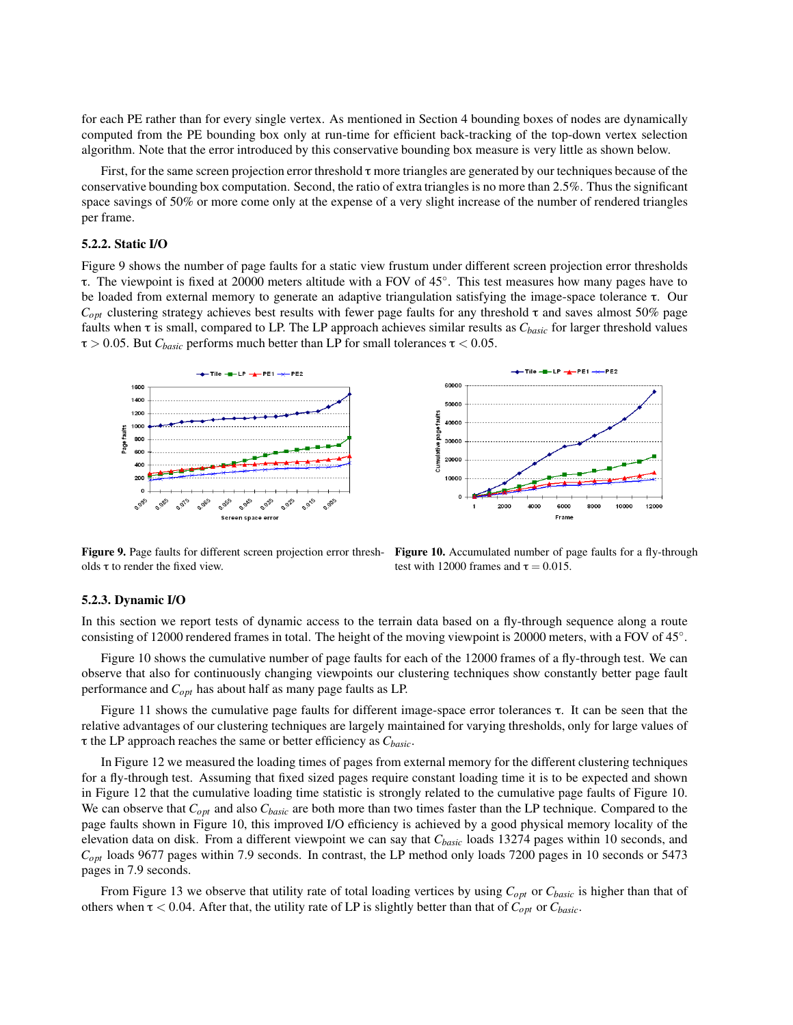for each PE rather than for every single vertex. As mentioned in Section 4 bounding boxes of nodes are dynamically computed from the PE bounding box only at run-time for efficient back-tracking of the top-down vertex selection algorithm. Note that the error introduced by this conservative bounding box measure is very little as shown below.

First, for the same screen projection error threshold  $\tau$  more triangles are generated by our techniques because of the conservative bounding box computation. Second, the ratio of extra triangles is no more than 2.5%. Thus the significant space savings of 50% or more come only at the expense of a very slight increase of the number of rendered triangles per frame.

#### **5.2.2. Static I/O**

Figure 9 shows the number of page faults for a static view frustum under different screen projection error thresholds τ. The viewpoint is fixed at 20000 meters altitude with a FOV of 45◦. This test measures how many pages have to be loaded from external memory to generate an adaptive triangulation satisfying the image-space tolerance τ. Our  $C_{opt}$  clustering strategy achieves best results with fewer page faults for any threshold  $\tau$  and saves almost 50% page faults when τ is small, compared to LP. The LP approach achieves similar results as *Cbasic* for larger threshold values  $\tau > 0.05$ . But *C*<sub>basic</sub> performs much better than LP for small tolerances  $\tau < 0.05$ .





olds  $\tau$  to render the fixed view.

**Figure 9.** Page faults for different screen projection error thresh-**Figure 10.** Accumulated number of page faults for a fly-through test with 12000 frames and  $\tau = 0.015$ .

#### **5.2.3. Dynamic I/O**

In this section we report tests of dynamic access to the terrain data based on a fly-through sequence along a route consisting of 12000 rendered frames in total. The height of the moving viewpoint is 20000 meters, with a FOV of 45◦.

Figure 10 shows the cumulative number of page faults for each of the 12000 frames of a fly-through test. We can observe that also for continuously changing viewpoints our clustering techniques show constantly better page fault performance and *Copt* has about half as many page faults as LP.

Figure 11 shows the cumulative page faults for different image-space error tolerances τ. It can be seen that the relative advantages of our clustering techniques are largely maintained for varying thresholds, only for large values of  $\tau$  the LP approach reaches the same or better efficiency as  $C_{basic}$ .

In Figure 12 we measured the loading times of pages from external memory for the different clustering techniques for a fly-through test. Assuming that fixed sized pages require constant loading time it is to be expected and shown in Figure 12 that the cumulative loading time statistic is strongly related to the cumulative page faults of Figure 10. We can observe that *Copt* and also *Cbasic* are both more than two times faster than the LP technique. Compared to the page faults shown in Figure 10, this improved I/O efficiency is achieved by a good physical memory locality of the elevation data on disk. From a different viewpoint we can say that *Cbasic* loads 13274 pages within 10 seconds, and *Copt* loads 9677 pages within 7.9 seconds. In contrast, the LP method only loads 7200 pages in 10 seconds or 5473 pages in 7.9 seconds.

From Figure 13 we observe that utility rate of total loading vertices by using *C<sub>opt</sub>* or *C<sub>basic</sub>* is higher than that of others when  $\tau$  < 0.04. After that, the utility rate of LP is slightly better than that of  $C_{opt}$  or  $C_{basic}$ .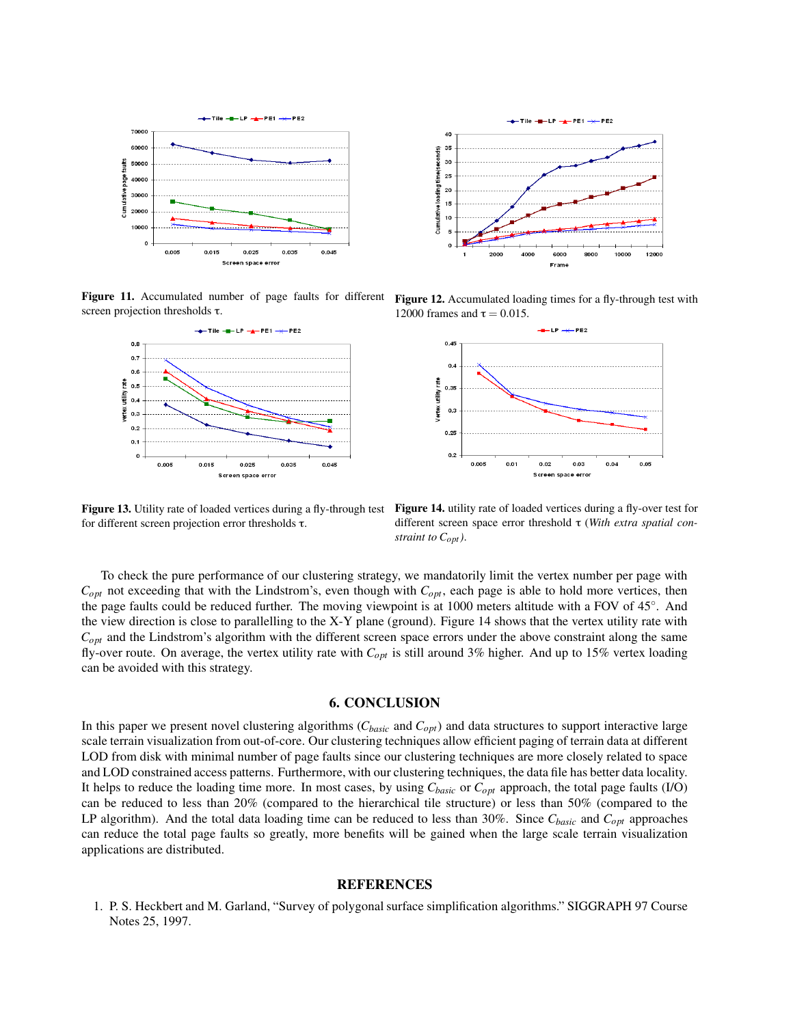

**Figure 11.** Accumulated number of page faults for different screen projection thresholds τ.





**Figure 12.** Accumulated loading times for a fly-through test with 12000 frames and  $τ = 0.015$ .



for different screen projection error thresholds τ.

Figure 13. Utility rate of loaded vertices during a fly-through test Figure 14. utility rate of loaded vertices during a fly-over test for different screen space error threshold τ (*With extra spatial constraint to Copt)*.

To check the pure performance of our clustering strategy, we mandatorily limit the vertex number per page with *Copt* not exceeding that with the Lindstrom's, even though with *Copt*, each page is able to hold more vertices, then the page faults could be reduced further. The moving viewpoint is at 1000 meters altitude with a FOV of 45◦. And the view direction is close to parallelling to the X-Y plane (ground). Figure 14 shows that the vertex utility rate with *Copt* and the Lindstrom's algorithm with the different screen space errors under the above constraint along the same fly-over route. On average, the vertex utility rate with  $C_{opt}$  is still around 3% higher. And up to 15% vertex loading can be avoided with this strategy.

#### **6. CONCLUSION**

In this paper we present novel clustering algorithms (*Cbasic* and *Copt*) and data structures to support interactive large scale terrain visualization from out-of-core. Our clustering techniques allow efficient paging of terrain data at different LOD from disk with minimal number of page faults since our clustering techniques are more closely related to space and LOD constrained access patterns. Furthermore, with our clustering techniques, the data file has better data locality. It helps to reduce the loading time more. In most cases, by using *Cbasic* or *Copt* approach, the total page faults (I/O) can be reduced to less than 20% (compared to the hierarchical tile structure) or less than 50% (compared to the LP algorithm). And the total data loading time can be reduced to less than 30%. Since *Cbasic* and *Copt* approaches can reduce the total page faults so greatly, more benefits will be gained when the large scale terrain visualization applications are distributed.

## **REFERENCES**

1. P. S. Heckbert and M. Garland, "Survey of polygonal surface simplification algorithms." SIGGRAPH 97 Course Notes 25, 1997.